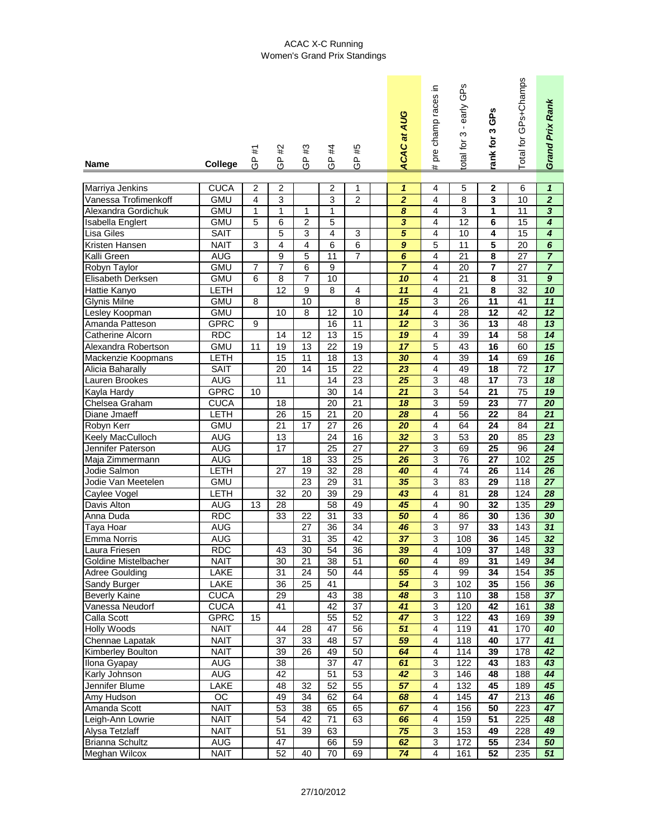## ACAC X-C Running Women's Grand Prix Standings

| <b>Name</b>             | <b>College</b> | #1<br>டு                | #2<br>၉<br>၁    | #3<br>၉<br>၁     | #4<br>၉<br>၁    | #5<br>၉<br>၁    | <b>ACAC at AUG</b>          | pre champ races in<br># | <b>GPS</b><br>early<br>$\mathbf{I}$<br>S<br>total for | GPS<br>rank for 3       | Total for GPs+Champs | Grand Prix Rank             |
|-------------------------|----------------|-------------------------|-----------------|------------------|-----------------|-----------------|-----------------------------|-------------------------|-------------------------------------------------------|-------------------------|----------------------|-----------------------------|
|                         |                |                         |                 |                  |                 |                 |                             |                         |                                                       |                         |                      |                             |
| Marriya Jenkins         | <b>CUCA</b>    | $\overline{2}$          | $\overline{2}$  |                  | $\overline{2}$  | 1               | $\overline{\mathbf{1}}$     | 4                       | 5                                                     | $\mathbf 2$             | 6                    | $\mathbf{1}$                |
| Vanessa Trofimenkoff    | <b>GMU</b>     | $\overline{\mathbf{4}}$ | 3               |                  | 3               | $\overline{2}$  | $\overline{2}$              | 4                       | 8                                                     | 3                       | 10                   | $\overline{2}$              |
| Alexandra Gordichuk     | <b>GMU</b>     | 1                       | $\mathbf{1}$    | $\mathbf 1$      | $\mathbf{1}$    |                 | $\overline{\boldsymbol{8}}$ | 4                       | 3                                                     | $\overline{\mathbf{1}}$ | 11                   | $\overline{\mathbf{3}}$     |
| Isabella Englert        | <b>GMU</b>     | 5                       | 6               | $\overline{2}$   | 5               |                 | $\overline{\mathbf{3}}$     | 4                       | 12                                                    | 6                       | 15                   | 4                           |
| <b>Lisa Giles</b>       | <b>SAIT</b>    |                         | 5               | 3                | 4               | $\mathfrak{S}$  | $\overline{5}$              | 4                       | 10                                                    | 4                       | 15                   | 4                           |
| Kristen Hansen          | <b>NAIT</b>    | 3                       | 4               | 4                | 6               | 6               | $\boldsymbol{9}$            | 5                       | 11                                                    | 5                       | 20                   | $\overline{\boldsymbol{6}}$ |
| Kalli Green             | <b>AUG</b>     |                         | 9               | 5                | 11              | $\overline{7}$  | $\overline{6}$              | 4                       | 21                                                    | 8                       | 27                   | $\overline{7}$              |
| Robyn Taylor            | <b>GMU</b>     | 7                       | $\overline{7}$  | 6                | 9               |                 | $\overline{7}$              | 4                       | 20                                                    | $\overline{7}$          | 27                   | $\overline{7}$              |
| Elisabeth Derksen       | <b>GMU</b>     | 6                       | 8               | $\overline{7}$   | 10              |                 | 10                          | 4                       | 21                                                    | 8                       | 31                   | $\overline{9}$              |
| Hattie Kanyo            | LETH           |                         | 12              | $\boldsymbol{9}$ | 8               | 4               | $\overline{11}$             | 4                       | 21                                                    | 8                       | 32                   | 10                          |
| <b>Glynis Milne</b>     | <b>GMU</b>     | 8                       |                 | $\overline{10}$  |                 | $\overline{8}$  | $\overline{15}$             | 3                       | $\overline{26}$                                       | $\overline{11}$         | $\overline{41}$      | $\overline{11}$             |
| Lesley Koopman          | <b>GMU</b>     |                         | 10              | 8                | 12              | 10              | 14                          | 4                       | 28                                                    | 12                      | 42                   | $\overline{12}$             |
| Amanda Patteson         | <b>GPRC</b>    | 9                       |                 |                  | 16              | $\overline{11}$ | $\overline{12}$             | 3                       | 36                                                    | $\overline{13}$         | 48                   | $\overline{13}$             |
| <b>Catherine Alcorn</b> | <b>RDC</b>     |                         | 14              | 12               | 13              | 15              | 19                          | 4                       | 39                                                    | $\overline{14}$         | 58                   | $\overline{14}$             |
| Alexandra Robertson     | <b>GMU</b>     | 11                      | 19              | $\overline{13}$  | 22              | $\overline{19}$ | $\overline{17}$             | 5                       | 43                                                    | $\overline{16}$         | 60                   | $\overline{15}$             |
| Mackenzie Koopmans      | LETH           |                         | 15              | 11               | 18              | 13              | 30                          | 4                       | 39                                                    | $\overline{14}$         | 69                   | $\overline{16}$             |
| Alicia Baharally        | <b>SAIT</b>    |                         | 20              | 14               | 15              | 22              | 23                          | 4                       | 49                                                    | 18                      | 72                   | $\overline{17}$             |
| Lauren Brookes          | <b>AUG</b>     |                         | 11              |                  | 14              | 23              | 25                          | 3                       | 48                                                    | $\overline{17}$         | 73                   | 18                          |
| Kayla Hardy             | <b>GPRC</b>    | 10                      |                 |                  | 30              | 14              | 21                          | 3                       | 54                                                    | 21                      | 75                   | 19                          |
| Chelsea Graham          | <b>CUCA</b>    |                         | 18              |                  | 20              | $\overline{21}$ | 18                          | 3                       | 59                                                    | 23                      | $\overline{77}$      | $\overline{20}$             |
| Diane Jmaeff            | <b>LETH</b>    |                         | 26              | 15               | 21              | 20              | 28                          | 4                       | 56                                                    | 22                      | 84                   | 21                          |
| Robyn Kerr              | <b>GMU</b>     |                         | $\overline{21}$ | $\overline{17}$  | $\overline{27}$ | $\overline{26}$ | $\overline{20}$             | 4                       | 64                                                    | $\overline{24}$         | 84                   | $\overline{21}$             |
| Keely MacCulloch        | <b>AUG</b>     |                         | 13              |                  | 24              | 16              | 32                          | 3                       | 53                                                    | 20                      | 85                   | 23                          |
| Jennifer Paterson       | <b>AUG</b>     |                         | $\overline{17}$ |                  | $\overline{25}$ | $\overline{27}$ | $\overline{27}$             | 3                       | 69                                                    | $\overline{25}$         | 96                   | $\overline{24}$             |
| Maja Zimmermann         | <b>AUG</b>     |                         |                 | 18               | 33              | 25              | 26                          | 3                       | 76                                                    | 27                      | 102                  | 25                          |
| Jodie Salmon            | LETH           |                         | 27              | 19               | $\overline{32}$ | 28              | 40                          | 4                       | 74                                                    | 26                      | 114                  | 26                          |
| Jodie Van Meetelen      | <b>GMU</b>     |                         |                 | 23               | 29              | 31              | 35                          | 3                       | 83                                                    | 29                      | 118                  | 27                          |
| Caylee Vogel            | <b>LETH</b>    |                         | 32              | 20               | 39              | 29              | 43                          | 4                       | 81                                                    | 28                      | 124                  | 28                          |
| Davis Alton             | <b>AUG</b>     | 13                      | 28              |                  | 58              | 49              | 45                          | 4                       | 90                                                    | 32                      | 135                  | 29                          |
| Anna Duda               | <b>RDC</b>     |                         | 33              | 22               | 31              | 33              | 50                          | 4                       | 86                                                    | 30                      | 136                  | 30                          |
| Taya Hoar               | <b>AUG</b>     |                         |                 | 27               | 36              | 34              | 46                          | 3                       | 97                                                    | 33                      | 143                  | 31                          |
| Emma Norris             | <b>AUG</b>     |                         |                 | 31               | $\overline{35}$ | 42              | 37                          | $\overline{3}$          | 108                                                   | 36                      | 145                  | 32                          |
| Laura Friesen           | <b>RDC</b>     |                         | 43              | 30               | 54              | 36              | 39                          | 4                       | 109                                                   | 37                      | 148                  | 33                          |
| Goldine Mistelbacher    | <b>NAIT</b>    |                         | 30              | 21               | 38              | 51              | 60                          | 4                       | 89                                                    | 31                      | 149                  | 34                          |
| <b>Adree Goulding</b>   | LAKE           |                         | 31              | 24               | 50              | 44              | 55                          | 4                       | 99                                                    | 34                      | 154                  | 35                          |
| Sandy Burger            | LAKE           |                         | 36              | 25               | 41              |                 | 54                          | $\sqrt{3}$              | 102                                                   | 35                      | 156                  | 36                          |
| <b>Beverly Kaine</b>    | <b>CUCA</b>    |                         | 29              |                  | 43              | 38              | 48                          | $\sqrt{3}$              | 110                                                   | 38                      | 158                  | 37                          |
| Vanessa Neudorf         | <b>CUCA</b>    |                         | 41              |                  | 42              | 37              | 41                          | $\overline{3}$          | 120                                                   | 42                      | 161                  | 38                          |
| Calla Scott             | <b>GPRC</b>    | 15                      |                 |                  | 55              | 52              | 47                          | 3                       | 122                                                   | 43                      | 169                  | 39                          |
| <b>Holly Woods</b>      | <b>NAIT</b>    |                         | 44              | 28               | 47              | 56              | 51                          | $\overline{\mathbf{4}}$ | 119                                                   | 41                      | 170                  | 40                          |
| Chennae Lapatak         | <b>NAIT</b>    |                         | 37              | 33               | 48              | 57              | 59                          | $\overline{\mathbf{4}}$ | 118                                                   | 40                      | 177                  | 41                          |
| Kimberley Boulton       | <b>NAIT</b>    |                         | 39              | 26               | 49              | 50              | 64                          | $\overline{\mathbf{4}}$ | 114                                                   | 39                      | 178                  | 42                          |
| Ilona Gyapay            | <b>AUG</b>     |                         | 38              |                  | 37              | 47              | 61                          | 3                       | 122                                                   | 43                      | 183                  | 43                          |
| Karly Johnson           | <b>AUG</b>     |                         | 42              |                  | 51              | 53              | 42                          | 3                       | 146                                                   | 48                      | 188                  | 44                          |
| Jennifer Blume          | LAKE           |                         | 48              | 32               | 52              | 55              | 57                          | 4                       | 132                                                   | 45                      | 189                  | 45                          |
| Amy Hudson              | OC             |                         | 49              | 34               | 62              | 64              | 68                          | 4                       | 145                                                   | 47                      | 213                  | 46                          |
| Amanda Scott            | <b>NAIT</b>    |                         | 53              | 38               | 65              | 65              | 67                          | 4                       | 156                                                   | 50                      | 223                  | 47                          |
| Leigh-Ann Lowrie        | <b>NAIT</b>    |                         | 54              | 42               | 71              | 63              | 66                          | 4                       | 159                                                   | $\overline{51}$         | 225                  | 48                          |
| Alysa Tetzlaff          | <b>NAIT</b>    |                         | 51              | 39               | 63              |                 | 75                          | 3                       | 153                                                   | 49                      | 228                  | 49                          |
| <b>Brianna Schultz</b>  | <b>AUG</b>     |                         | 47              |                  | 66              | 59              | 62                          | 3                       | 172                                                   | 55                      | 234                  | 50                          |
| Meghan Wilcox           | <b>NAIT</b>    |                         | 52              | 40               | 70              | 69              | 74                          | $\overline{4}$          | 161                                                   | 52                      | 235                  | 51                          |